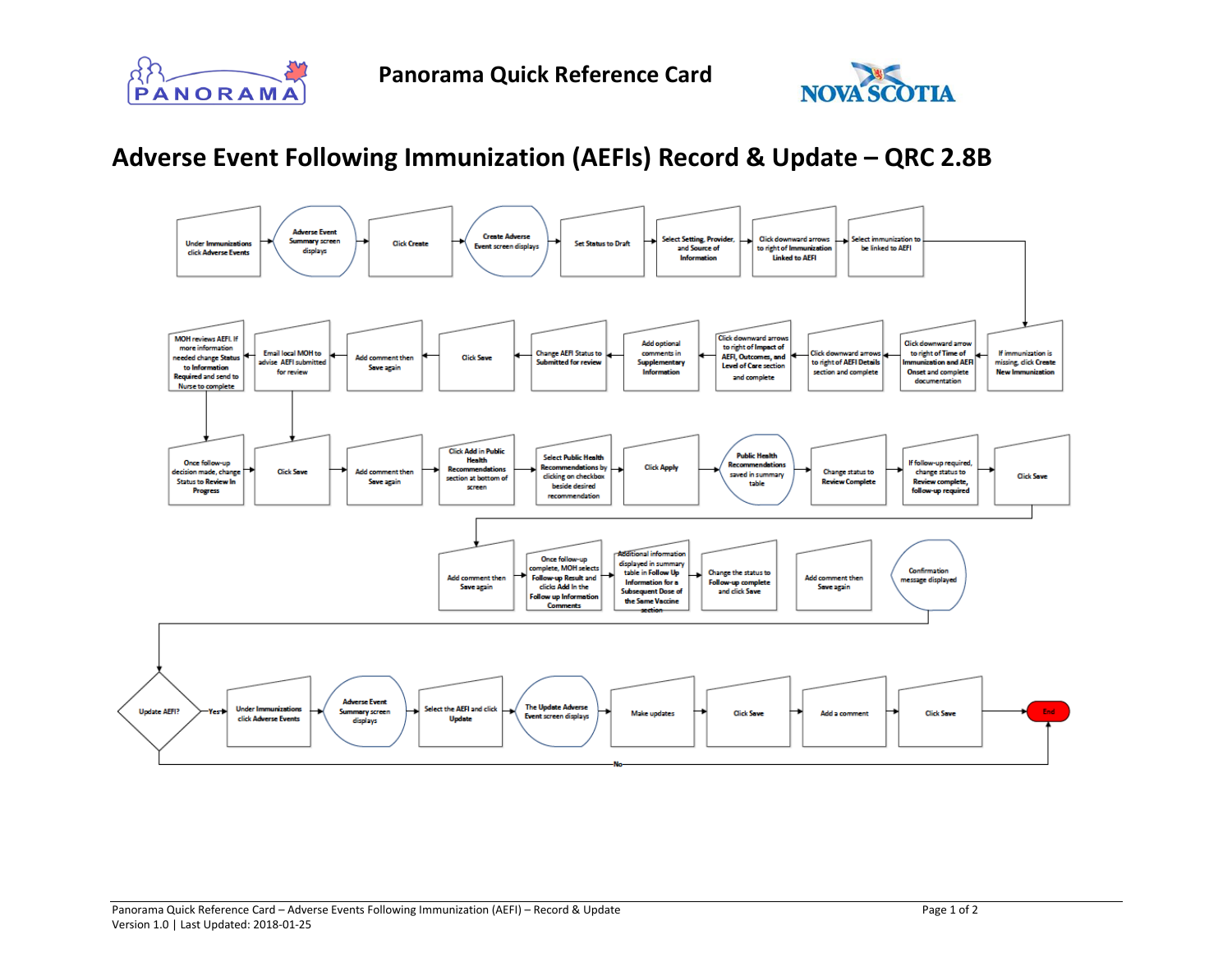



## **Adverse Event Following Immunization (AEFIs) Record & Update – QRC 2.8B**